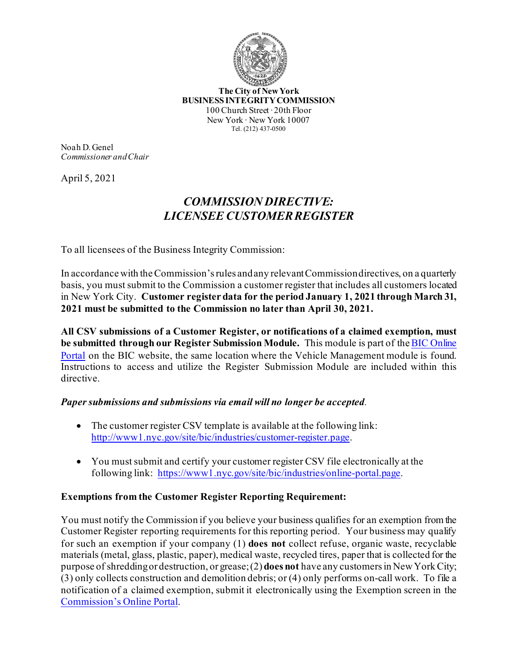

**The City of New York BUSINESS INTEGRITY COMMISSION** 100 Church Street ∙ 20th Floor New York ∙ New York 10007 Tel. (212) 437-0500

Noah D. Genel *Commissioner and Chair*

April 5, 2021

## *COMMISSION DIRECTIVE: LICENSEE CUSTOMER REGISTER*

To all licensees of the Business Integrity Commission:

In accordance with the Commission's rules and any relevant Commission directives, on a quarterly basis, you must submit to the Commission a customer register that includes all customers located in New York City. **Customer register data for the period January 1, 2021 through March 31, 2021 must be submitted to the Commission no later than April 30, 2021.**

**All CSV submissions of a Customer Register, or notifications of a claimed exemption, must be submitted through our Register Submission Module.** This module is part of theBIC Online Portal on the BIC website, the same location where the Vehicle Management module is found. Instructions to access and utilize the Register Submission Module are included within this directive.

## *Paper submissions and submissions via email will no longer be accepted.*

- The customer register CSV template is available at the following link: http://www1.nyc.gov/site/bic/industries/customer-register.page.
- You must submit and certify your customer register CSV file electronically at the following link: https://www1.nyc.gov/site/bic/industries/online-portal.page.

## **Exemptions from the Customer Register Reporting Requirement:**

You must notify the Commission if you believe your business qualifies for an exemption from the Customer Register reporting requirements for this reporting period. Your business may qualify for such an exemption if your company (1) **does not** collect refuse, organic waste, recyclable materials (metal, glass, plastic, paper), medical waste, recycled tires, paper that is collected for the purpose of shredding or destruction, or grease; (2) **does not** have any customers in New York City; (3) only collects construction and demolition debris; or (4) only performs on-call work. To file a notification of a claimed exemption, submit it electronically using the Exemption screen in the Commission's Online Portal.